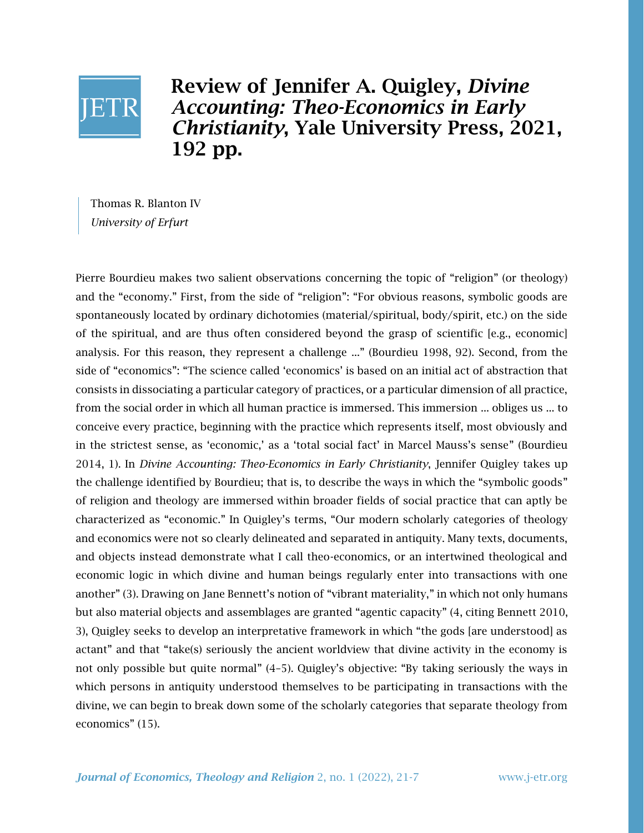

Review of Jennifer A. Quigley, *Divine Accounting: Theo-Economics in Early Christianity*, Yale University Press, 2021, 192 pp.

Thomas R. Blanton IV *University of Erfurt*

Pierre Bourdieu makes two salient observations concerning the topic of "religion" (or theology) and the "economy." First, from the side of "religion": "For obvious reasons, symbolic goods are spontaneously located by ordinary dichotomies (material/spiritual, body/spirit, etc.) on the side of the spiritual, and are thus often considered beyond the grasp of scientific [e.g., economic] analysis. For this reason, they represent a challenge ..." (Bourdieu 1998, 92). Second, from the side of "economics": "The science called 'economics' is based on an initial act of abstraction that consists in dissociating a particular category of practices, or a particular dimension of all practice, from the social order in which all human practice is immersed. This immersion ... obliges us ... to conceive every practice, beginning with the practice which represents itself, most obviously and in the strictest sense, as 'economic,' as a 'total social fact' in Marcel Mauss's sense" (Bourdieu 2014, 1). In *Divine Accounting: Theo-Economics in Early Christianity*, Jennifer Quigley takes up the challenge identified by Bourdieu; that is, to describe the ways in which the "symbolic goods" of religion and theology are immersed within broader fields of social practice that can aptly be characterized as "economic." In Quigley's terms, "Our modern scholarly categories of theology and economics were not so clearly delineated and separated in antiquity. Many texts, documents, and objects instead demonstrate what I call theo-economics, or an intertwined theological and economic logic in which divine and human beings regularly enter into transactions with one another" (3). Drawing on Jane Bennett's notion of "vibrant materiality," in which not only humans but also material objects and assemblages are granted "agentic capacity" (4, citing Bennett 2010, 3), Quigley seeks to develop an interpretative framework in which "the gods [are understood] as actant" and that "take(s) seriously the ancient worldview that divine activity in the economy is not only possible but quite normal" (4–5). Quigley's objective: "By taking seriously the ways in which persons in antiquity understood themselves to be participating in transactions with the divine, we can begin to break down some of the scholarly categories that separate theology from economics" (15).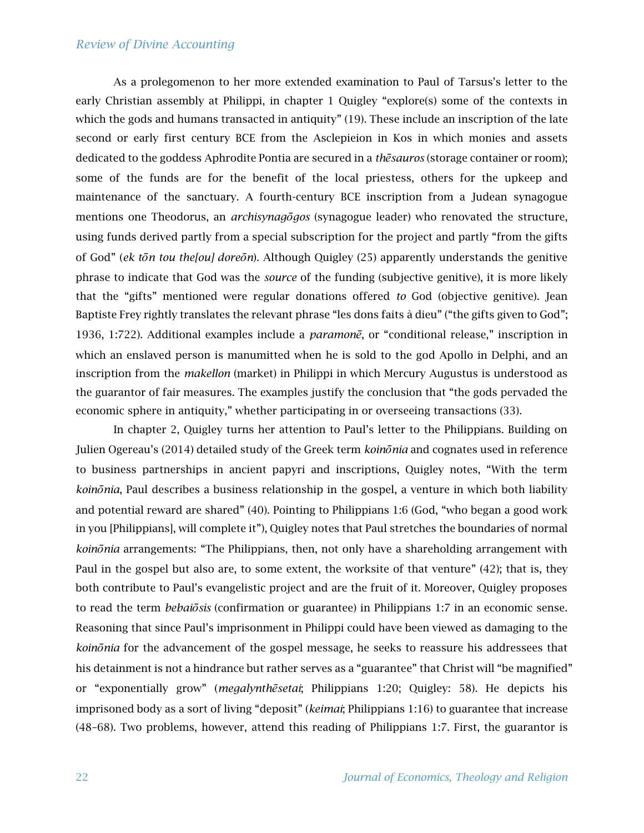## *Review of Divine Accounting*

As a prolegomenon to her more extended examination to Paul of Tarsus's letter to the early Christian assembly at Philippi, in chapter 1 Quigley "explore(s) some of the contexts in which the gods and humans transacted in antiquity" (19). These include an inscription of the late second or early first century BCE from the Asclepieion in Kos in which monies and assets dedicated to the goddess Aphrodite Pontia are secured in a *thēsauros* (storage container or room); some of the funds are for the benefit of the local priestess, others for the upkeep and maintenance of the sanctuary. A fourth-century BCE inscription from a Judean synagogue mentions one Theodorus, an *archisynagōgos* (synagogue leader) who renovated the structure, using funds derived partly from a special subscription for the project and partly "from the gifts of God" (*ek tōn tou the[ou] doreōn*). Although Quigley (25) apparently understands the genitive phrase to indicate that God was the *source* of the funding (subjective genitive), it is more likely that the "gifts" mentioned were regular donations offered *to* God (objective genitive). Jean Baptiste Frey rightly translates the relevant phrase "les dons faits à dieu" ("the gifts given to God"; 1936, 1:722). Additional examples include a *paramonē*, or "conditional release," inscription in which an enslaved person is manumitted when he is sold to the god Apollo in Delphi, and an inscription from the *makellon* (market) in Philippi in which Mercury Augustus is understood as the guarantor of fair measures. The examples justify the conclusion that "the gods pervaded the economic sphere in antiquity," whether participating in or overseeing transactions (33).

In chapter 2, Quigley turns her attention to Paul's letter to the Philippians. Building on Julien Ogereau's (2014) detailed study of the Greek term *koinōnia* and cognates used in reference to business partnerships in ancient papyri and inscriptions, Quigley notes, "With the term *koinōnia*, Paul describes a business relationship in the gospel, a venture in which both liability and potential reward are shared" (40). Pointing to Philippians 1:6 (God, "who began a good work in you [Philippians], will complete it"), Quigley notes that Paul stretches the boundaries of normal *koinōnia* arrangements: "The Philippians, then, not only have a shareholding arrangement with Paul in the gospel but also are, to some extent, the worksite of that venture" (42); that is, they both contribute to Paul's evangelistic project and are the fruit of it. Moreover, Quigley proposes to read the term *bebaiōsis* (confirmation or guarantee) in Philippians 1:7 in an economic sense. Reasoning that since Paul's imprisonment in Philippi could have been viewed as damaging to the *koinōnia* for the advancement of the gospel message, he seeks to reassure his addressees that his detainment is not a hindrance but rather serves as a "guarantee" that Christ will "be magnified" or "exponentially grow" (*megalynthēsetai*; Philippians 1:20; Quigley: 58). He depicts his imprisoned body as a sort of living "deposit" (*keimai*; Philippians 1:16) to guarantee that increase (48–68). Two problems, however, attend this reading of Philippians 1:7. First, the guarantor is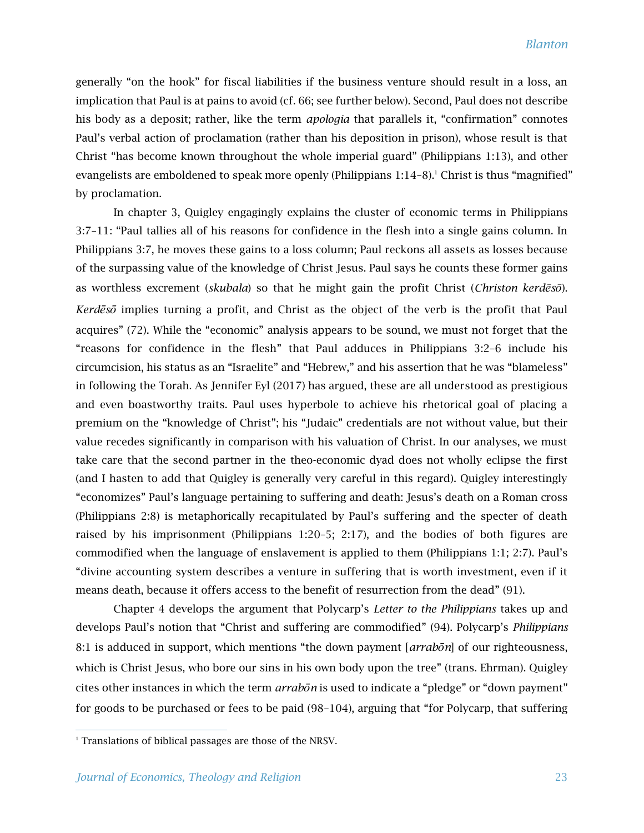generally "on the hook" for fiscal liabilities if the business venture should result in a loss, an implication that Paul is at pains to avoid (cf. 66; see further below). Second, Paul does not describe his body as a deposit; rather, like the term *apologia* that parallels it, "confirmation" connotes Paul's verbal action of proclamation (rather than his deposition in prison), whose result is that Christ "has become known throughout the whole imperial guard" (Philippians 1:13), and other evangelists are emboldened to speak more openly (Philippians  $1:14-8$ ).<sup>1</sup> Christ is thus "magnified" by proclamation.

In chapter 3, Quigley engagingly explains the cluster of economic terms in Philippians 3:7–11: "Paul tallies all of his reasons for confidence in the flesh into a single gains column. In Philippians 3:7, he moves these gains to a loss column; Paul reckons all assets as losses because of the surpassing value of the knowledge of Christ Jesus. Paul says he counts these former gains as worthless excrement (*skubala*) so that he might gain the profit Christ (*Christon kerdēsō*). *Kerdēsō* implies turning a profit, and Christ as the object of the verb is the profit that Paul acquires" (72). While the "economic" analysis appears to be sound, we must not forget that the "reasons for confidence in the flesh" that Paul adduces in Philippians 3:2–6 include his circumcision, his status as an "Israelite" and "Hebrew," and his assertion that he was "blameless" in following the Torah. As Jennifer Eyl (2017) has argued, these are all understood as prestigious and even boastworthy traits. Paul uses hyperbole to achieve his rhetorical goal of placing a premium on the "knowledge of Christ"; his "Judaic" credentials are not without value, but their value recedes significantly in comparison with his valuation of Christ. In our analyses, we must take care that the second partner in the theo-economic dyad does not wholly eclipse the first (and I hasten to add that Quigley is generally very careful in this regard). Quigley interestingly "economizes" Paul's language pertaining to suffering and death: Jesus's death on a Roman cross (Philippians 2:8) is metaphorically recapitulated by Paul's suffering and the specter of death raised by his imprisonment (Philippians 1:20–5; 2:17), and the bodies of both figures are commodified when the language of enslavement is applied to them (Philippians 1:1; 2:7). Paul's "divine accounting system describes a venture in suffering that is worth investment, even if it means death, because it offers access to the benefit of resurrection from the dead" (91).

Chapter 4 develops the argument that Polycarp's *Letter to the Philippians* takes up and develops Paul's notion that "Christ and suffering are commodified" (94). Polycarp's *Philippians* 8:1 is adduced in support, which mentions "the down payment [*arrabōn*] of our righteousness, which is Christ Jesus, who bore our sins in his own body upon the tree" (trans. Ehrman). Quigley cites other instances in which the term *arrabōn* is used to indicate a "pledge" or "down payment" for goods to be purchased or fees to be paid (98–104), arguing that "for Polycarp, that suffering

<sup>&</sup>lt;sup>1</sup> Translations of biblical passages are those of the NRSV.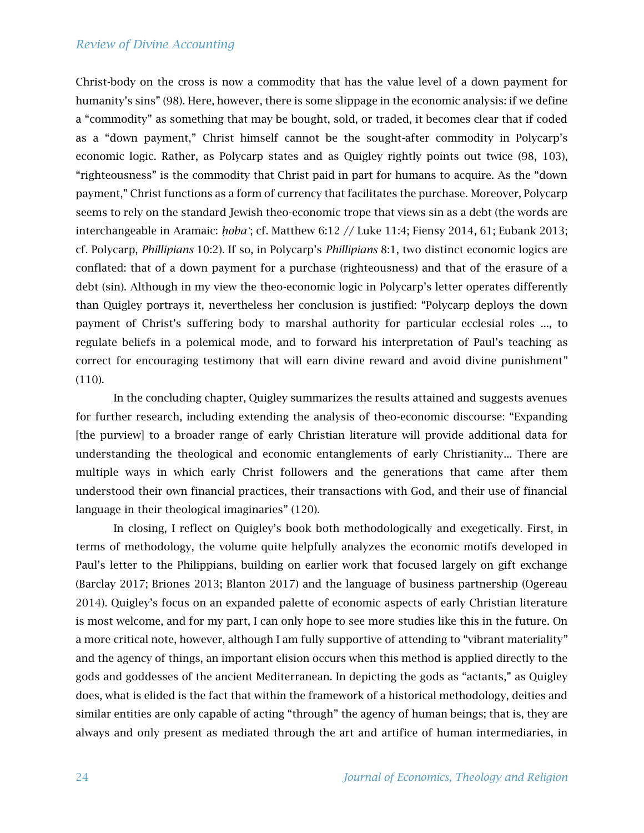## *Review of Divine Accounting*

Christ-body on the cross is now a commodity that has the value level of a down payment for humanity's sins" (98). Here, however, there is some slippage in the economic analysis: if we define a "commodity" as something that may be bought, sold, or traded, it becomes clear that if coded as a "down payment," Christ himself cannot be the sought-after commodity in Polycarp's economic logic. Rather, as Polycarp states and as Quigley rightly points out twice (98, 103), "righteousness" is the commodity that Christ paid in part for humans to acquire. As the "down payment," Christ functions as a form of currency that facilitates the purchase. Moreover, Polycarp seems to rely on the standard Jewish theo-economic trope that views sin as a debt (the words are interchangeable in Aramaic: *ḥobaʾ*; cf. Matthew 6:12 // Luke 11:4; Fiensy 2014, 61; Eubank 2013; cf. Polycarp, *Phillipians* 10:2). If so, in Polycarp's *Phillipians* 8:1, two distinct economic logics are conflated: that of a down payment for a purchase (righteousness) and that of the erasure of a debt (sin). Although in my view the theo-economic logic in Polycarp's letter operates differently than Quigley portrays it, nevertheless her conclusion is justified: "Polycarp deploys the down payment of Christ's suffering body to marshal authority for particular ecclesial roles ..., to regulate beliefs in a polemical mode, and to forward his interpretation of Paul's teaching as correct for encouraging testimony that will earn divine reward and avoid divine punishment" (110).

In the concluding chapter, Quigley summarizes the results attained and suggests avenues for further research, including extending the analysis of theo-economic discourse: "Expanding [the purview] to a broader range of early Christian literature will provide additional data for understanding the theological and economic entanglements of early Christianity... There are multiple ways in which early Christ followers and the generations that came after them understood their own financial practices, their transactions with God, and their use of financial language in their theological imaginaries" (120).

In closing, I reflect on Quigley's book both methodologically and exegetically. First, in terms of methodology, the volume quite helpfully analyzes the economic motifs developed in Paul's letter to the Philippians, building on earlier work that focused largely on gift exchange (Barclay 2017; Briones 2013; Blanton 2017) and the language of business partnership (Ogereau 2014). Quigley's focus on an expanded palette of economic aspects of early Christian literature is most welcome, and for my part, I can only hope to see more studies like this in the future. On a more critical note, however, although I am fully supportive of attending to "vibrant materiality" and the agency of things, an important elision occurs when this method is applied directly to the gods and goddesses of the ancient Mediterranean. In depicting the gods as "actants," as Quigley does, what is elided is the fact that within the framework of a historical methodology, deities and similar entities are only capable of acting "through" the agency of human beings; that is, they are always and only present as mediated through the art and artifice of human intermediaries, in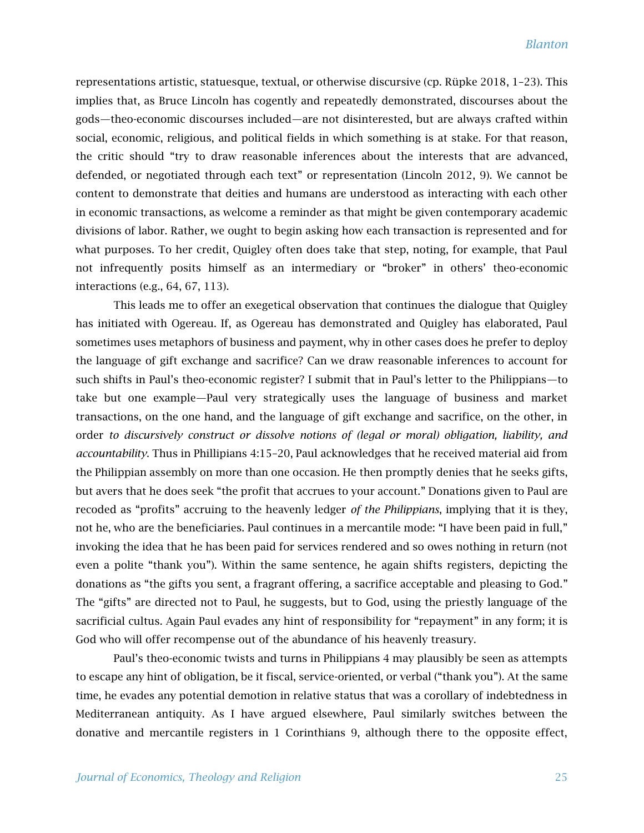representations artistic, statuesque, textual, or otherwise discursive (cp. Rüpke 2018, 1–23). This implies that, as Bruce Lincoln has cogently and repeatedly demonstrated, discourses about the gods—theo-economic discourses included—are not disinterested, but are always crafted within social, economic, religious, and political fields in which something is at stake. For that reason, the critic should "try to draw reasonable inferences about the interests that are advanced, defended, or negotiated through each text" or representation (Lincoln 2012, 9). We cannot be content to demonstrate that deities and humans are understood as interacting with each other in economic transactions, as welcome a reminder as that might be given contemporary academic divisions of labor. Rather, we ought to begin asking how each transaction is represented and for what purposes. To her credit, Quigley often does take that step, noting, for example, that Paul not infrequently posits himself as an intermediary or "broker" in others' theo-economic interactions (e.g., 64, 67, 113).

This leads me to offer an exegetical observation that continues the dialogue that Quigley has initiated with Ogereau. If, as Ogereau has demonstrated and Quigley has elaborated, Paul sometimes uses metaphors of business and payment, why in other cases does he prefer to deploy the language of gift exchange and sacrifice? Can we draw reasonable inferences to account for such shifts in Paul's theo-economic register? I submit that in Paul's letter to the Philippians—to take but one example—Paul very strategically uses the language of business and market transactions, on the one hand, and the language of gift exchange and sacrifice, on the other, in order *to discursively construct or dissolve notions of (legal or moral) obligation, liability, and accountability*. Thus in Phillipians 4:15–20, Paul acknowledges that he received material aid from the Philippian assembly on more than one occasion. He then promptly denies that he seeks gifts, but avers that he does seek "the profit that accrues to your account." Donations given to Paul are recoded as "profits" accruing to the heavenly ledger *of the Philippians*, implying that it is they, not he, who are the beneficiaries. Paul continues in a mercantile mode: "I have been paid in full," invoking the idea that he has been paid for services rendered and so owes nothing in return (not even a polite "thank you"). Within the same sentence, he again shifts registers, depicting the donations as "the gifts you sent, a fragrant offering, a sacrifice acceptable and pleasing to God." The "gifts" are directed not to Paul, he suggests, but to God, using the priestly language of the sacrificial cultus. Again Paul evades any hint of responsibility for "repayment" in any form; it is God who will offer recompense out of the abundance of his heavenly treasury.

Paul's theo-economic twists and turns in Philippians 4 may plausibly be seen as attempts to escape any hint of obligation, be it fiscal, service-oriented, or verbal ("thank you"). At the same time, he evades any potential demotion in relative status that was a corollary of indebtedness in Mediterranean antiquity. As I have argued elsewhere, Paul similarly switches between the donative and mercantile registers in 1 Corinthians 9, although there to the opposite effect,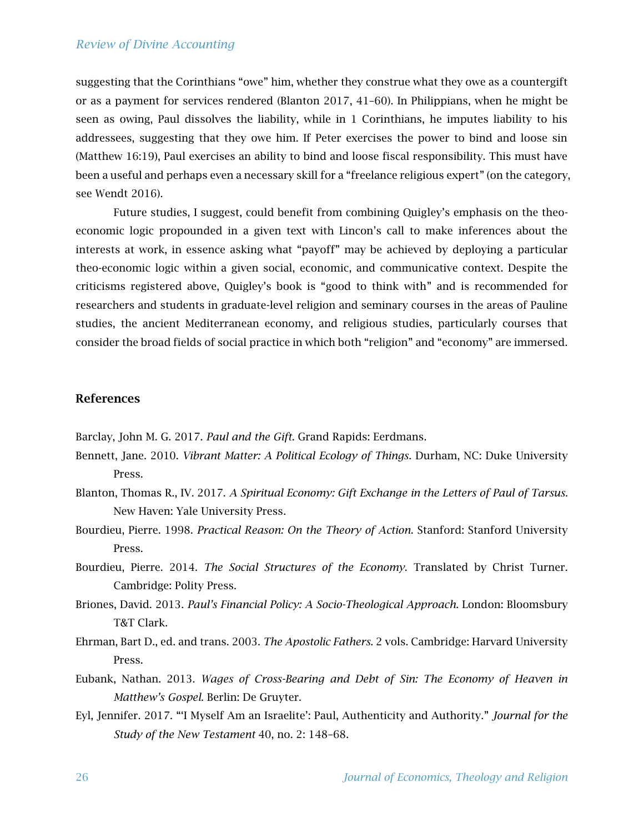## *Review of Divine Accounting*

suggesting that the Corinthians "owe" him, whether they construe what they owe as a countergift or as a payment for services rendered (Blanton 2017, 41–60). In Philippians, when he might be seen as owing, Paul dissolves the liability, while in 1 Corinthians, he imputes liability to his addressees, suggesting that they owe him. If Peter exercises the power to bind and loose sin (Matthew 16:19), Paul exercises an ability to bind and loose fiscal responsibility. This must have been a useful and perhaps even a necessary skill for a "freelance religious expert" (on the category, see Wendt 2016).

Future studies, I suggest, could benefit from combining Quigley's emphasis on the theoeconomic logic propounded in a given text with Lincon's call to make inferences about the interests at work, in essence asking what "payoff" may be achieved by deploying a particular theo-economic logic within a given social, economic, and communicative context. Despite the criticisms registered above, Quigley's book is "good to think with" and is recommended for researchers and students in graduate-level religion and seminary courses in the areas of Pauline studies, the ancient Mediterranean economy, and religious studies, particularly courses that consider the broad fields of social practice in which both "religion" and "economy" are immersed.

## References

Barclay, John M. G. 2017. *Paul and the Gift*. Grand Rapids: Eerdmans.

- Bennett, Jane. 2010. *Vibrant Matter: A Political Ecology of Things*. Durham, NC: Duke University Press.
- Blanton, Thomas R., IV. 2017. *A Spiritual Economy: Gift Exchange in the Letters of Paul of Tarsus*. New Haven: Yale University Press.
- Bourdieu, Pierre. 1998. *Practical Reason: On the Theory of Action*. Stanford: Stanford University Press.
- Bourdieu, Pierre. 2014. *The Social Structures of the Economy*. Translated by Christ Turner. Cambridge: Polity Press.
- Briones, David. 2013. *Paul's Financial Policy: A Socio-Theological Approach*. London: Bloomsbury T&T Clark.
- Ehrman, Bart D., ed. and trans. 2003. *The Apostolic Fathers*. 2 vols. Cambridge: Harvard University Press.
- Eubank, Nathan. 2013. *Wages of Cross-Bearing and Debt of Sin: The Economy of Heaven in Matthew's Gospel*. Berlin: De Gruyter.
- Eyl, Jennifer. 2017. "'I Myself Am an Israelite': Paul, Authenticity and Authority." *Journal for the Study of the New Testament* 40, no. 2: 148–68.